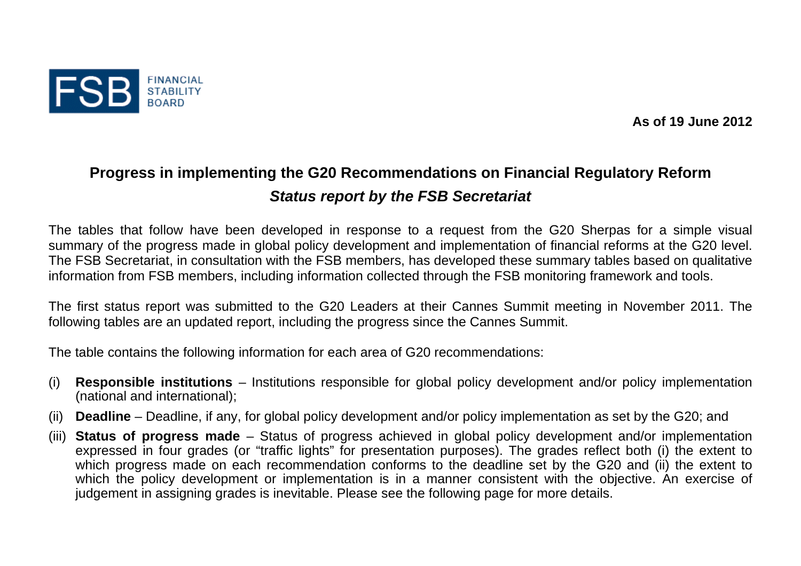

**As of 19 June 2012** 

## **Progress in implementing the G20 Recommendations on Financial Regulatory Reform**  *Status report by the FSB Secretariat*

The tables that follow have been developed in response to a request from the G20 Sherpas for a simple visual summary of the progress made in global policy development and implementation of financial reforms at the G20 level. The FSB Secretariat, in consultation with the FSB members, has developed these summary tables based on qualitative information from FSB members, including information collected through the FSB monitoring framework and tools.

The first status report was submitted to the G20 Leaders at their Cannes Summit meeting in November 2011. The following tables are an updated report, including the progress since the Cannes Summit.

The table contains the following information for each area of G20 recommendations:

- (i) **Responsible institutions**  Institutions responsible for global policy development and/or policy implementation (national and international);
- (ii) **Deadline**  Deadline, if any, for global policy development and/or policy implementation as set by the G20; and
- (iii) **Status of progress made**  Status of progress achieved in global policy development and/or implementation expressed in four grades (or "traffic lights" for presentation purposes). The grades reflect both (i) the extent to which progress made on each recommendation conforms to the deadline set by the G20 and (ii) the extent to which the policy development or implementation is in a manner consistent with the objective. An exercise of judgement in assigning grades is inevitable. Please see the following page for more details.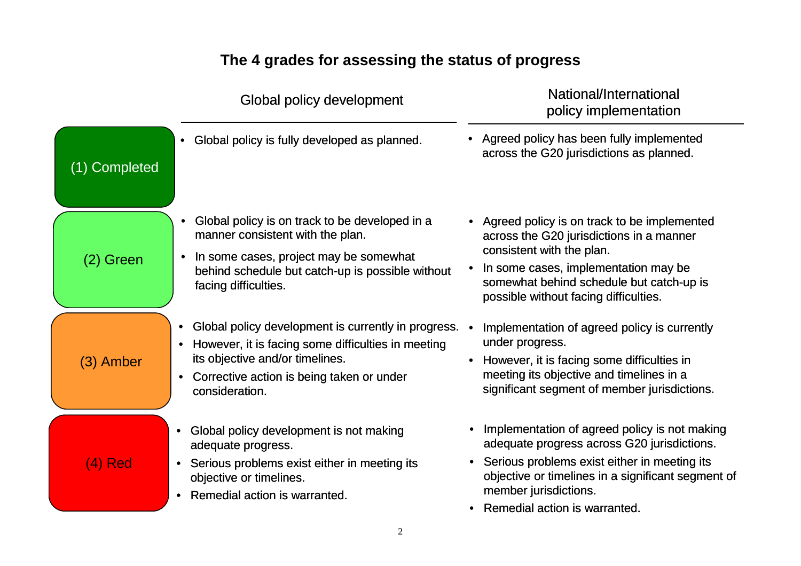## **The 4 grades for assessing the status of progress**

|               | Global policy development                                                                                                                                                                                             | National/International<br>policy implementation                                                                                                                                                                                                                             |
|---------------|-----------------------------------------------------------------------------------------------------------------------------------------------------------------------------------------------------------------------|-----------------------------------------------------------------------------------------------------------------------------------------------------------------------------------------------------------------------------------------------------------------------------|
| (1) Completed | Global policy is fully developed as planned.                                                                                                                                                                          | Agreed policy has been fully implemented<br>across the G20 jurisdictions as planned.                                                                                                                                                                                        |
| (2) Green     | Global policy is on track to be developed in a<br>manner consistent with the plan.<br>In some cases, project may be somewhat<br>$\bullet$<br>behind schedule but catch-up is possible without<br>facing difficulties. | • Agreed policy is on track to be implemented<br>across the G20 jurisdictions in a manner<br>consistent with the plan.<br>In some cases, implementation may be<br>somewhat behind schedule but catch-up is<br>possible without facing difficulties.                         |
| (3) Amber     | Global policy development is currently in progress.<br>However, it is facing some difficulties in meeting<br>its objective and/or timelines.<br>Corrective action is being taken or under<br>consideration.           | Implementation of agreed policy is currently<br>under progress.<br>However, it is facing some difficulties in<br>meeting its objective and timelines in a<br>significant segment of member jurisdictions.                                                                   |
| (4) Red       | Global policy development is not making<br>adequate progress.<br>• Serious problems exist either in meeting its<br>objective or timelines.<br>Remedial action is warranted.                                           | Implementation of agreed policy is not making<br>٠<br>adequate progress across G20 jurisdictions.<br>Serious problems exist either in meeting its<br>٠<br>objective or timelines in a significant segment of<br>member jurisdictions.<br>Remedial action is warranted.<br>٠ |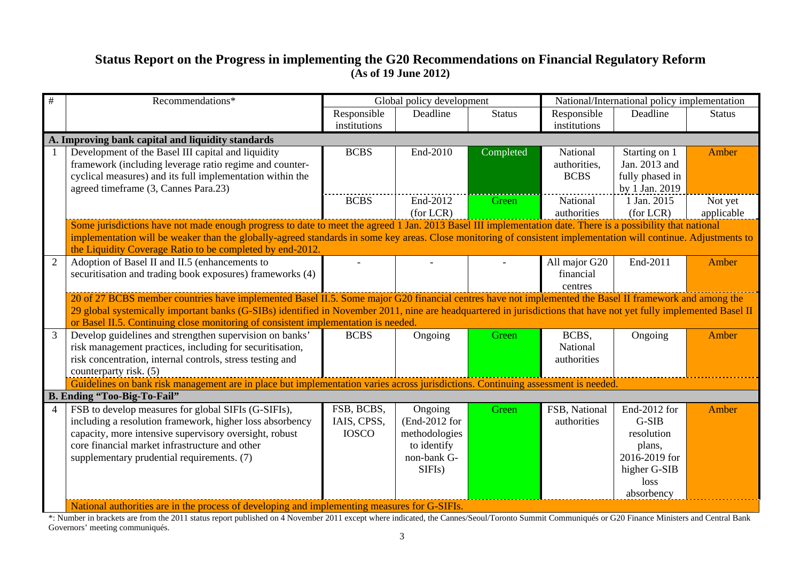## **Status Report on the Progress in implementing the G20 Recommendations on Financial Regulatory Reform (As of 19 June 2012)**

| $\#$           | Recommendations*                                                                                                                                                                                                             | Global policy development   |                          |               |                              | National/International policy implementation |               |
|----------------|------------------------------------------------------------------------------------------------------------------------------------------------------------------------------------------------------------------------------|-----------------------------|--------------------------|---------------|------------------------------|----------------------------------------------|---------------|
|                |                                                                                                                                                                                                                              | Responsible                 | Deadline                 | <b>Status</b> | Responsible                  | Deadline                                     | <b>Status</b> |
|                |                                                                                                                                                                                                                              | institutions                |                          |               | institutions                 |                                              |               |
|                | A. Improving bank capital and liquidity standards                                                                                                                                                                            |                             |                          |               |                              |                                              |               |
|                | Development of the Basel III capital and liquidity                                                                                                                                                                           | <b>BCBS</b>                 | End-2010                 | Completed     | National                     | Starting on 1                                | Amber         |
|                | framework (including leverage ratio regime and counter-                                                                                                                                                                      |                             |                          |               | authorities,                 | Jan. 2013 and                                |               |
|                | cyclical measures) and its full implementation within the                                                                                                                                                                    |                             |                          |               | <b>BCBS</b>                  | fully phased in                              |               |
|                | agreed timeframe (3, Cannes Para.23)                                                                                                                                                                                         |                             |                          |               |                              | by 1 Jan. 2019                               |               |
|                |                                                                                                                                                                                                                              | <b>BCBS</b>                 | End-2012                 | Green         | National                     | 1 Jan. 2015                                  | Not yet       |
|                |                                                                                                                                                                                                                              |                             | (for LCR)                |               | authorities                  | (for LCR)                                    | applicable    |
|                | Some jurisdictions have not made enough progress to date to meet the agreed 1 Jan. 2013 Basel III implementation date. There is a possibility that national                                                                  |                             |                          |               |                              |                                              |               |
|                | implementation will be weaker than the globally-agreed standards in some key areas. Close monitoring of consistent implementation will continue. Adjustments to<br>the Liquidity Coverage Ratio to be completed by end-2012. |                             |                          |               |                              |                                              |               |
| $\overline{2}$ | Adoption of Basel II and II.5 (enhancements to                                                                                                                                                                               |                             |                          |               | All major G20                | End-2011                                     | Amber         |
|                | securitisation and trading book exposures) frameworks (4)                                                                                                                                                                    |                             |                          |               | financial                    |                                              |               |
|                |                                                                                                                                                                                                                              |                             |                          |               | centres                      |                                              |               |
|                | 20 of 27 BCBS member countries have implemented Basel II.5. Some major G20 financial centres have not implemented the Basel II framework and among the                                                                       |                             |                          |               |                              |                                              |               |
|                | 29 global systemically important banks (G-SIBs) identified in November 2011, nine are headquartered in jurisdictions that have not yet fully implemented Basel II                                                            |                             |                          |               |                              |                                              |               |
|                | or Basel II.5. Continuing close monitoring of consistent implementation is needed.                                                                                                                                           |                             |                          |               |                              |                                              |               |
| 3              | Develop guidelines and strengthen supervision on banks'                                                                                                                                                                      | <b>BCBS</b>                 | Ongoing                  | Green         | BCBS,                        | Ongoing                                      | Amber         |
|                | risk management practices, including for securitisation,                                                                                                                                                                     |                             |                          |               | National                     |                                              |               |
|                | risk concentration, internal controls, stress testing and                                                                                                                                                                    |                             |                          |               | authorities                  |                                              |               |
|                | counterparty risk. (5)                                                                                                                                                                                                       |                             |                          |               |                              |                                              |               |
|                | Guidelines on bank risk management are in place but implementation varies across jurisdictions. Continuing assessment is needed.                                                                                             |                             |                          |               |                              |                                              |               |
|                | B. Ending "Too-Big-To-Fail"                                                                                                                                                                                                  |                             |                          |               |                              |                                              |               |
| $\overline{4}$ | FSB to develop measures for global SIFIs (G-SIFIs),<br>including a resolution framework, higher loss absorbency                                                                                                              | FSB, BCBS,                  | Ongoing<br>(End-2012 for | Green         | FSB, National<br>authorities | End-2012 for<br>$G-SIB$                      | Amber         |
|                | capacity, more intensive supervisory oversight, robust                                                                                                                                                                       | IAIS, CPSS,<br><b>IOSCO</b> | methodologies            |               |                              | resolution                                   |               |
|                | core financial market infrastructure and other                                                                                                                                                                               |                             | to identify              |               |                              | plans,                                       |               |
|                | supplementary prudential requirements. (7)                                                                                                                                                                                   |                             | non-bank G-              |               |                              | 2016-2019 for                                |               |
|                |                                                                                                                                                                                                                              |                             | SIFIs)                   |               |                              | higher G-SIB                                 |               |
|                |                                                                                                                                                                                                                              |                             |                          |               |                              | loss                                         |               |
|                |                                                                                                                                                                                                                              |                             |                          |               |                              | absorbency                                   |               |
|                | National authorities are in the process of developing and implementing measures for G-SIFIs.                                                                                                                                 |                             |                          |               |                              |                                              |               |

\*: Number in brackets are from the 2011 status report published on 4 November 2011 except where indicated, the Cannes/Seoul/Toronto Summit Communiqués or G20 Finance Ministers and Central Bank Governors' meeting communiqués.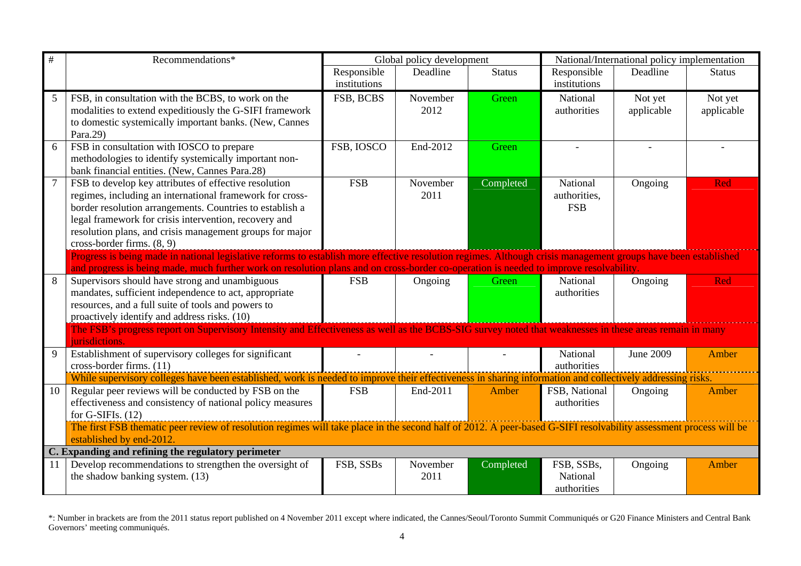| $\#$            | Recommendations*                                                                                                                                                  | Global policy development |          |               | National/International policy implementation |            |               |
|-----------------|-------------------------------------------------------------------------------------------------------------------------------------------------------------------|---------------------------|----------|---------------|----------------------------------------------|------------|---------------|
|                 |                                                                                                                                                                   | Responsible               | Deadline | <b>Status</b> | Responsible                                  | Deadline   | <b>Status</b> |
|                 |                                                                                                                                                                   | institutions              |          |               | institutions                                 |            |               |
| 5               | FSB, in consultation with the BCBS, to work on the                                                                                                                | FSB, BCBS                 | November | Green         | National                                     | Not yet    | Not yet       |
|                 | modalities to extend expeditiously the G-SIFI framework                                                                                                           |                           | 2012     |               | authorities                                  | applicable | applicable    |
|                 | to domestic systemically important banks. (New, Cannes                                                                                                            |                           |          |               |                                              |            |               |
|                 | Para.29)                                                                                                                                                          |                           |          |               |                                              |            |               |
| 6               | FSB in consultation with IOSCO to prepare                                                                                                                         | FSB, IOSCO                | End-2012 | Green         |                                              |            |               |
|                 | methodologies to identify systemically important non-                                                                                                             |                           |          |               |                                              |            |               |
|                 | bank financial entities. (New, Cannes Para.28)                                                                                                                    |                           |          |               |                                              |            |               |
| $7\phantom{.0}$ | FSB to develop key attributes of effective resolution                                                                                                             | <b>FSB</b>                | November | Completed     | National                                     | Ongoing    | Red           |
|                 | regimes, including an international framework for cross-                                                                                                          |                           | 2011     |               | authorities,                                 |            |               |
|                 | border resolution arrangements. Countries to establish a                                                                                                          |                           |          |               | <b>FSB</b>                                   |            |               |
|                 | legal framework for crisis intervention, recovery and                                                                                                             |                           |          |               |                                              |            |               |
|                 | resolution plans, and crisis management groups for major                                                                                                          |                           |          |               |                                              |            |               |
|                 | cross-border firms. (8, 9)                                                                                                                                        |                           |          |               |                                              |            |               |
|                 | Progress is being made in national legislative reforms to establish more effective resolution regimes. Although crisis management groups have been established    |                           |          |               |                                              |            |               |
| 8               | and progress is being made, much further work on resolution plans and on cross-border co-operation is needed to improve resolvability.                            |                           |          |               |                                              |            |               |
|                 | Supervisors should have strong and unambiguous                                                                                                                    | <b>FSB</b>                | Ongoing  | Green         | National<br>authorities                      | Ongoing    | Red           |
|                 | mandates, sufficient independence to act, appropriate                                                                                                             |                           |          |               |                                              |            |               |
|                 | resources, and a full suite of tools and powers to<br>proactively identify and address risks. (10)                                                                |                           |          |               |                                              |            |               |
|                 | The FSB's progress report on Supervisory Intensity and Effectiveness as well as the BCBS-SIG survey noted that weaknesses in these areas remain in many           |                           |          |               |                                              |            |               |
|                 | jurisdictions.                                                                                                                                                    |                           |          |               |                                              |            |               |
| 9               | Establishment of supervisory colleges for significant                                                                                                             |                           |          |               | National                                     | June 2009  | Amber         |
|                 | cross-border firms. (11)                                                                                                                                          |                           |          |               | authorities                                  |            |               |
|                 | While supervisory colleges have been established, work is needed to improve their effectiveness in sharing information and collectively addressing risks.         |                           |          |               |                                              |            |               |
| 10              | Regular peer reviews will be conducted by FSB on the                                                                                                              | <b>FSB</b>                | End-2011 | Amber         | FSB, National                                | Ongoing    | Amber         |
|                 | effectiveness and consistency of national policy measures                                                                                                         |                           |          |               | authorities                                  |            |               |
|                 | for G-SIFIs. $(12)$                                                                                                                                               |                           |          |               |                                              |            |               |
|                 | The first FSB thematic peer review of resolution regimes will take place in the second half of 2012. A peer-based G-SIFI resolvability assessment process will be |                           |          |               |                                              |            |               |
|                 | established by end-2012.                                                                                                                                          |                           |          |               |                                              |            |               |
|                 | C. Expanding and refining the regulatory perimeter                                                                                                                |                           |          |               |                                              |            |               |
| 11              | Develop recommendations to strengthen the oversight of                                                                                                            | FSB, SSBs                 | November | Completed     | FSB, SSBs,                                   | Ongoing    | Amber         |
|                 | the shadow banking system. (13)                                                                                                                                   |                           | 2011     |               | National                                     |            |               |
|                 |                                                                                                                                                                   |                           |          |               | authorities                                  |            |               |

<sup>\*:</sup> Number in brackets are from the 2011 status report published on 4 November 2011 except where indicated, the Cannes/Seoul/Toronto Summit Communiqués or G20 Finance Ministers and Central Bank Governors' meeting communiqués.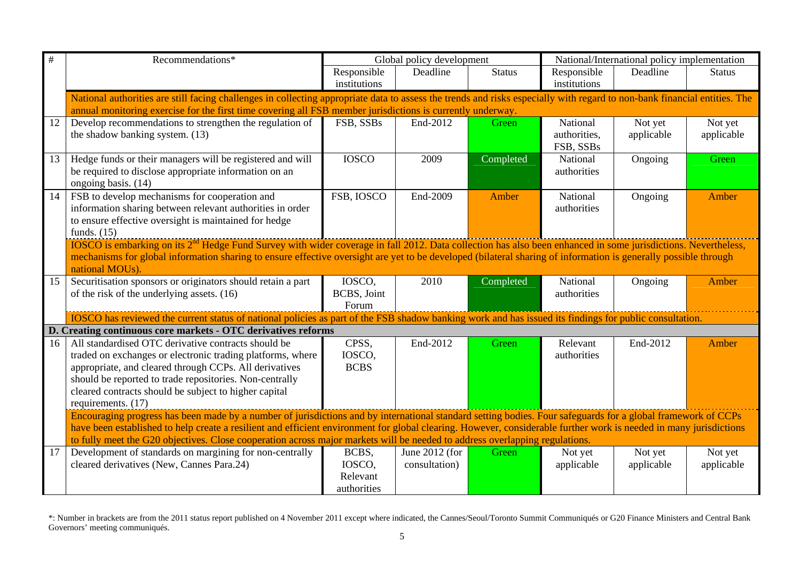| $\#$            | Recommendations*                                                                                                                                                                                                                                                                        |              | Global policy development |               |              | National/International policy implementation |               |  |  |
|-----------------|-----------------------------------------------------------------------------------------------------------------------------------------------------------------------------------------------------------------------------------------------------------------------------------------|--------------|---------------------------|---------------|--------------|----------------------------------------------|---------------|--|--|
|                 |                                                                                                                                                                                                                                                                                         | Responsible  | Deadline                  | <b>Status</b> | Responsible  | Deadline                                     | <b>Status</b> |  |  |
|                 |                                                                                                                                                                                                                                                                                         | institutions |                           |               | institutions |                                              |               |  |  |
|                 | National authorities are still facing challenges in collecting appropriate data to assess the trends and risks especially with regard to non-bank financial entities. The<br>annual monitoring exercise for the first time covering all FSB member jurisdictions is currently underway. |              |                           |               |              |                                              |               |  |  |
| 12              | Develop recommendations to strengthen the regulation of                                                                                                                                                                                                                                 | FSB, SSBs    | End-2012                  | Green         | National     | Not yet                                      | Not yet       |  |  |
|                 | the shadow banking system. (13)                                                                                                                                                                                                                                                         |              |                           |               | authorities, | applicable                                   | applicable    |  |  |
|                 |                                                                                                                                                                                                                                                                                         |              |                           |               | FSB, SSBs    |                                              |               |  |  |
| 13              | Hedge funds or their managers will be registered and will                                                                                                                                                                                                                               | <b>IOSCO</b> | 2009                      | Completed     | National     | Ongoing                                      | Green         |  |  |
|                 | be required to disclose appropriate information on an<br>ongoing basis. (14)                                                                                                                                                                                                            |              |                           |               | authorities  |                                              |               |  |  |
| 14              | FSB to develop mechanisms for cooperation and                                                                                                                                                                                                                                           | FSB, IOSCO   | End-2009                  | Amber         | National     | Ongoing                                      | Amber         |  |  |
|                 | information sharing between relevant authorities in order                                                                                                                                                                                                                               |              |                           |               | authorities  |                                              |               |  |  |
|                 | to ensure effective oversight is maintained for hedge                                                                                                                                                                                                                                   |              |                           |               |              |                                              |               |  |  |
|                 | funds. $(15)$                                                                                                                                                                                                                                                                           |              |                           |               |              |                                              |               |  |  |
|                 | <b>IOSCO</b> is embarking on its 2 <sup>nd</sup> Hedge Fund Survey with wider coverage in fall 2012. Data collection has also been enhanced in some jurisdictions. Nevertheless,                                                                                                        |              |                           |               |              |                                              |               |  |  |
|                 | mechanisms for global information sharing to ensure effective oversight are yet to be developed (bilateral sharing of information is generally possible through                                                                                                                         |              |                           |               |              |                                              |               |  |  |
|                 | national MOUs).                                                                                                                                                                                                                                                                         |              |                           |               |              |                                              |               |  |  |
| 15              | Securitisation sponsors or originators should retain a part                                                                                                                                                                                                                             | IOSCO,       | 2010                      | Completed     | National     | Ongoing                                      | Amber         |  |  |
|                 | of the risk of the underlying assets. (16)                                                                                                                                                                                                                                              | BCBS, Joint  |                           |               | authorities  |                                              |               |  |  |
|                 | IOSCO has reviewed the current status of national policies as part of the FSB shadow banking work and has issued its findings for public consultation.                                                                                                                                  | Forum        |                           |               |              |                                              |               |  |  |
|                 | D. Creating continuous core markets - OTC derivatives reforms                                                                                                                                                                                                                           |              |                           |               |              |                                              |               |  |  |
| 16              | All standardised OTC derivative contracts should be                                                                                                                                                                                                                                     | CPSS,        | End-2012                  | Green         | Relevant     | End-2012                                     | Amber         |  |  |
|                 | traded on exchanges or electronic trading platforms, where                                                                                                                                                                                                                              | IOSCO,       |                           |               | authorities  |                                              |               |  |  |
|                 | appropriate, and cleared through CCPs. All derivatives                                                                                                                                                                                                                                  | <b>BCBS</b>  |                           |               |              |                                              |               |  |  |
|                 | should be reported to trade repositories. Non-centrally                                                                                                                                                                                                                                 |              |                           |               |              |                                              |               |  |  |
|                 | cleared contracts should be subject to higher capital                                                                                                                                                                                                                                   |              |                           |               |              |                                              |               |  |  |
|                 | requirements. (17)                                                                                                                                                                                                                                                                      |              |                           |               |              |                                              |               |  |  |
|                 | Encouraging progress has been made by a number of jurisdictions and by international standard setting bodies. Four safeguards for a global framework of CCPs                                                                                                                            |              |                           |               |              |                                              |               |  |  |
|                 | have been established to help create a resilient and efficient environment for global clearing. However, considerable further work is needed in many jurisdictions                                                                                                                      |              |                           |               |              |                                              |               |  |  |
|                 | to fully meet the G20 objectives. Close cooperation across major markets will be needed to address overlapping regulations.                                                                                                                                                             |              |                           |               |              |                                              |               |  |  |
| $\overline{17}$ | Development of standards on margining for non-centrally                                                                                                                                                                                                                                 | BCBS,        | June 2012 (for            | Green         | Not yet      | Not yet                                      | Not yet       |  |  |
|                 | cleared derivatives (New, Cannes Para.24)                                                                                                                                                                                                                                               | IOSCO,       | consultation)             |               | applicable   | applicable                                   | applicable    |  |  |
|                 |                                                                                                                                                                                                                                                                                         | Relevant     |                           |               |              |                                              |               |  |  |
|                 |                                                                                                                                                                                                                                                                                         | authorities  |                           |               |              |                                              |               |  |  |

<sup>\*:</sup> Number in brackets are from the 2011 status report published on 4 November 2011 except where indicated, the Cannes/Seoul/Toronto Summit Communiqués or G20 Finance Ministers and Central Bank Governors' meeting communiqués.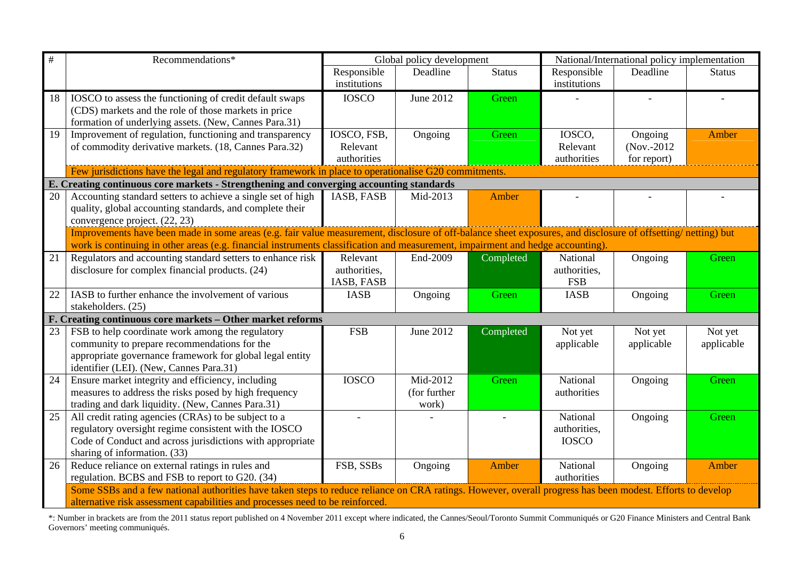| $\#$ | Recommendations*                                                                                                                                              |                         | Global policy development |               |              | National/International policy implementation |               |  |
|------|---------------------------------------------------------------------------------------------------------------------------------------------------------------|-------------------------|---------------------------|---------------|--------------|----------------------------------------------|---------------|--|
|      |                                                                                                                                                               | Responsible             | Deadline                  | <b>Status</b> | Responsible  | Deadline                                     | <b>Status</b> |  |
|      |                                                                                                                                                               | institutions            |                           |               | institutions |                                              |               |  |
| 18   | IOSCO to assess the functioning of credit default swaps                                                                                                       | <b>IOSCO</b>            | June 2012                 | Green         |              |                                              |               |  |
|      | (CDS) markets and the role of those markets in price                                                                                                          |                         |                           |               |              |                                              |               |  |
|      | formation of underlying assets. (New, Cannes Para.31)                                                                                                         |                         |                           |               |              |                                              |               |  |
| 19   | Improvement of regulation, functioning and transparency                                                                                                       | IOSCO, FSB,             | Ongoing                   | Green         | IOSCO,       | Ongoing                                      | Amber         |  |
|      | of commodity derivative markets. (18, Cannes Para.32)                                                                                                         | Relevant<br>authorities |                           |               | Relevant     | $(Nov. - 2012)$                              |               |  |
|      |                                                                                                                                                               |                         |                           |               | authorities  | for report)                                  |               |  |
|      | Few jurisdictions have the legal and regulatory framework in place to operationalise G20 commitments.                                                         |                         |                           |               |              |                                              |               |  |
| 20   | E. Creating continuous core markets - Strengthening and converging accounting standards<br>Accounting standard setters to achieve a single set of high        | IASB, FASB              | Mid-2013                  | Amber         |              |                                              |               |  |
|      | quality, global accounting standards, and complete their                                                                                                      |                         |                           |               |              |                                              |               |  |
|      | convergence project. (22, 23)                                                                                                                                 |                         |                           |               |              |                                              |               |  |
|      | Improvements have been made in some areas (e.g. fair value measurement, disclosure of off-balance sheet exposures, and disclosure of offsetting/ netting) but |                         |                           |               |              |                                              |               |  |
|      | work is continuing in other areas (e.g. financial instruments classification and measurement, impairment and hedge accounting).                               |                         |                           |               |              |                                              |               |  |
| 21   | Regulators and accounting standard setters to enhance risk                                                                                                    | Relevant                | End-2009                  | Completed     | National     | Ongoing                                      | Green         |  |
|      | disclosure for complex financial products. (24)                                                                                                               | authorities,            |                           |               | authorities, |                                              |               |  |
|      |                                                                                                                                                               | IASB, FASB              |                           |               | <b>FSB</b>   |                                              |               |  |
| 22   | IASB to further enhance the involvement of various                                                                                                            | <b>IASB</b>             | Ongoing                   | Green         | <b>IASB</b>  | Ongoing                                      | Green         |  |
|      | stakeholders. (25)                                                                                                                                            |                         |                           |               |              |                                              |               |  |
|      | F. Creating continuous core markets - Other market reforms                                                                                                    |                         |                           |               |              |                                              |               |  |
| 23   | FSB to help coordinate work among the regulatory                                                                                                              | <b>FSB</b>              | June 2012                 | Completed     | Not yet      | Not yet                                      | Not yet       |  |
|      | community to prepare recommendations for the                                                                                                                  |                         |                           |               | applicable   | applicable                                   | applicable    |  |
|      | appropriate governance framework for global legal entity                                                                                                      |                         |                           |               |              |                                              |               |  |
|      | identifier (LEI). (New, Cannes Para.31)                                                                                                                       |                         |                           |               |              |                                              |               |  |
| 24   | Ensure market integrity and efficiency, including                                                                                                             | <b>IOSCO</b>            | Mid-2012                  | Green         | National     | Ongoing                                      | Green         |  |
|      | measures to address the risks posed by high frequency                                                                                                         |                         | (for further              |               | authorities  |                                              |               |  |
|      | trading and dark liquidity. (New, Cannes Para.31)                                                                                                             |                         | work)                     |               |              |                                              |               |  |
| 25   | All credit rating agencies (CRAs) to be subject to a                                                                                                          |                         |                           |               | National     | Ongoing                                      | Green         |  |
|      | regulatory oversight regime consistent with the IOSCO                                                                                                         |                         |                           |               | authorities, |                                              |               |  |
|      | Code of Conduct and across jurisdictions with appropriate                                                                                                     |                         |                           |               | <b>IOSCO</b> |                                              |               |  |
|      | sharing of information. (33)                                                                                                                                  |                         |                           |               |              |                                              |               |  |
| 26   | Reduce reliance on external ratings in rules and                                                                                                              | FSB, SSBs               | Ongoing                   | Amber         | National     | Ongoing                                      | Amber         |  |
|      | regulation. BCBS and FSB to report to G20. (34)                                                                                                               |                         |                           |               | authorities  |                                              |               |  |
|      | Some SSBs and a few national authorities have taken steps to reduce reliance on CRA ratings. However, overall progress has been modest. Efforts to develop    |                         |                           |               |              |                                              |               |  |
|      | alternative risk assessment capabilities and processes need to be reinforced.                                                                                 |                         |                           |               |              |                                              |               |  |

\*: Number in brackets are from the 2011 status report published on 4 November 2011 except where indicated, the Cannes/Seoul/Toronto Summit Communiqués or G20 Finance Ministers and Central Bank Governors' meeting communiqués.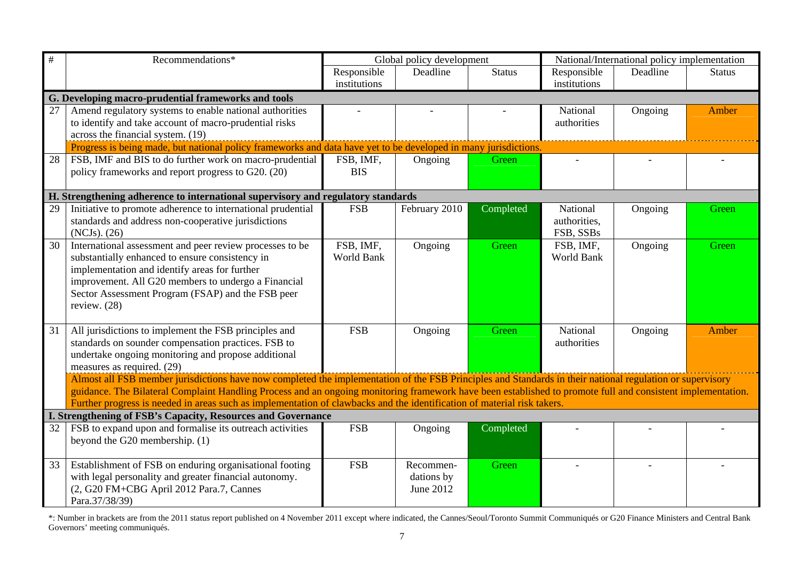| #  | Recommendations*                                                                                                                                            | Global policy development |               |               | National/International policy implementation |          |               |
|----|-------------------------------------------------------------------------------------------------------------------------------------------------------------|---------------------------|---------------|---------------|----------------------------------------------|----------|---------------|
|    |                                                                                                                                                             | Responsible               | Deadline      | <b>Status</b> | Responsible                                  | Deadline | <b>Status</b> |
|    |                                                                                                                                                             | institutions              |               |               | institutions                                 |          |               |
|    | G. Developing macro-prudential frameworks and tools                                                                                                         |                           |               |               |                                              |          |               |
| 27 | Amend regulatory systems to enable national authorities                                                                                                     |                           |               |               | National                                     | Ongoing  | Amber         |
|    | to identify and take account of macro-prudential risks                                                                                                      |                           |               |               | authorities                                  |          |               |
|    | across the financial system. (19)                                                                                                                           |                           |               |               |                                              |          |               |
|    | Progress is being made, but national policy frameworks and data have yet to be developed in many jurisdictions                                              |                           |               |               |                                              |          |               |
| 28 | FSB, IMF and BIS to do further work on macro-prudential<br>policy frameworks and report progress to G20. (20)                                               | FSB, IMF,<br><b>BIS</b>   | Ongoing       | Green         |                                              |          |               |
|    |                                                                                                                                                             |                           |               |               |                                              |          |               |
|    | H. Strengthening adherence to international supervisory and regulatory standards                                                                            |                           |               |               |                                              |          |               |
| 29 | Initiative to promote adherence to international prudential                                                                                                 | <b>FSB</b>                | February 2010 | Completed     | National                                     | Ongoing  | Green         |
|    | standards and address non-cooperative jurisdictions                                                                                                         |                           |               |               | authorities,                                 |          |               |
|    | (NCJs). (26)                                                                                                                                                |                           |               |               | FSB, SSBs                                    |          |               |
| 30 | International assessment and peer review processes to be                                                                                                    | FSB, IMF,                 | Ongoing       | Green         | FSB, IMF,                                    | Ongoing  | Green         |
|    | substantially enhanced to ensure consistency in                                                                                                             | World Bank                |               |               | World Bank                                   |          |               |
|    | implementation and identify areas for further                                                                                                               |                           |               |               |                                              |          |               |
|    | improvement. All G20 members to undergo a Financial                                                                                                         |                           |               |               |                                              |          |               |
|    | Sector Assessment Program (FSAP) and the FSB peer<br>review. (28)                                                                                           |                           |               |               |                                              |          |               |
|    |                                                                                                                                                             |                           |               |               |                                              |          |               |
| 31 | All jurisdictions to implement the FSB principles and                                                                                                       | <b>FSB</b>                | Ongoing       | Green         | National                                     | Ongoing  | Amber         |
|    | standards on sounder compensation practices. FSB to                                                                                                         |                           |               |               | authorities                                  |          |               |
|    | undertake ongoing monitoring and propose additional                                                                                                         |                           |               |               |                                              |          |               |
|    | measures as required. (29)                                                                                                                                  |                           |               |               |                                              |          |               |
|    | Almost all FSB member jurisdictions have now completed the implementation of the FSB Principles and Standards in their national regulation or supervisory   |                           |               |               |                                              |          |               |
|    | guidance. The Bilateral Complaint Handling Process and an ongoing monitoring framework have been established to promote full and consistent implementation. |                           |               |               |                                              |          |               |
|    | Further progress is needed in areas such as implementation of clawbacks and the identification of material risk takers.                                     |                           |               |               |                                              |          |               |
| 32 | I. Strengthening of FSB's Capacity, Resources and Governance<br>FSB to expand upon and formalise its outreach activities                                    | <b>FSB</b>                |               |               |                                              |          |               |
|    | beyond the G20 membership. (1)                                                                                                                              |                           | Ongoing       | Completed     |                                              |          |               |
|    |                                                                                                                                                             |                           |               |               |                                              |          |               |
| 33 | Establishment of FSB on enduring organisational footing                                                                                                     | <b>FSB</b>                | Recommen-     | Green         |                                              |          |               |
|    | with legal personality and greater financial autonomy.                                                                                                      |                           | dations by    |               |                                              |          |               |
|    | (2, G20 FM+CBG April 2012 Para.7, Cannes                                                                                                                    |                           | June 2012     |               |                                              |          |               |
|    | Para.37/38/39)                                                                                                                                              |                           |               |               |                                              |          |               |

\*: Number in brackets are from the 2011 status report published on 4 November 2011 except where indicated, the Cannes/Seoul/Toronto Summit Communiqués or G20 Finance Ministers and Central Bank Governors' meeting communiqués.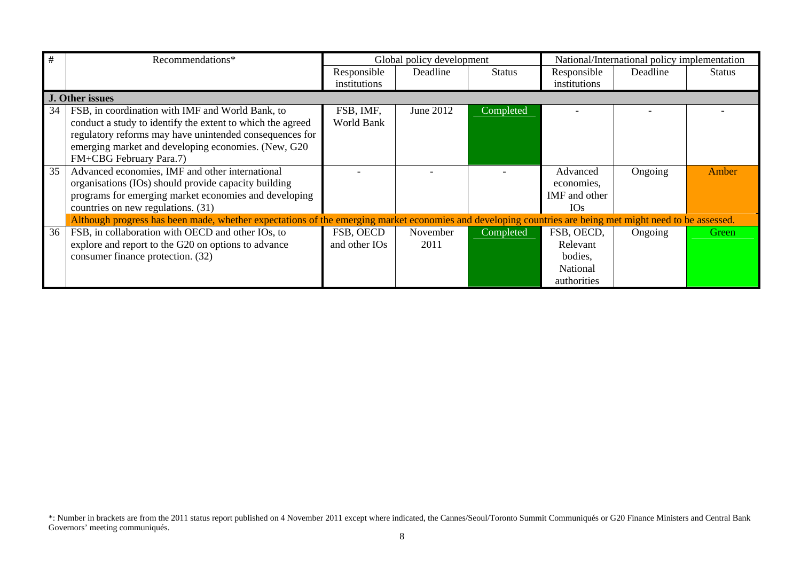| #  | Recommendations*                                                                                                                                         |               | Global policy development |               |               | National/International policy implementation |               |  |
|----|----------------------------------------------------------------------------------------------------------------------------------------------------------|---------------|---------------------------|---------------|---------------|----------------------------------------------|---------------|--|
|    |                                                                                                                                                          | Responsible   | Deadline                  | <b>Status</b> | Responsible   | Deadline                                     | <b>Status</b> |  |
|    |                                                                                                                                                          | institutions  |                           |               | institutions  |                                              |               |  |
|    | J. Other issues                                                                                                                                          |               |                           |               |               |                                              |               |  |
| 34 | FSB, in coordination with IMF and World Bank, to                                                                                                         | FSB, IMF,     | June 2012                 | Completed     |               |                                              |               |  |
|    | conduct a study to identify the extent to which the agreed                                                                                               | World Bank    |                           |               |               |                                              |               |  |
|    | regulatory reforms may have unintended consequences for                                                                                                  |               |                           |               |               |                                              |               |  |
|    | emerging market and developing economies. (New, G20)                                                                                                     |               |                           |               |               |                                              |               |  |
|    | FM+CBG February Para.7)                                                                                                                                  |               |                           |               |               |                                              |               |  |
| 35 | Advanced economies, IMF and other international                                                                                                          |               |                           |               | Advanced      | Ongoing                                      | Amber         |  |
|    | organisations (IOs) should provide capacity building                                                                                                     |               |                           |               | economies.    |                                              |               |  |
|    | programs for emerging market economies and developing                                                                                                    |               |                           |               | IMF and other |                                              |               |  |
|    | countries on new regulations. (31)                                                                                                                       |               |                           |               | <b>IOs</b>    |                                              |               |  |
|    | Although progress has been made, whether expectations of the emerging market economies and developing countries are being met might need to be assessed. |               |                           |               |               |                                              |               |  |
| 36 | FSB, in collaboration with OECD and other IOs, to                                                                                                        | FSB, OECD     | November                  | Completed     | FSB, OECD,    | Ongoing                                      | Green         |  |
|    | explore and report to the G20 on options to advance                                                                                                      | and other IOs | 2011                      |               | Relevant      |                                              |               |  |
|    | consumer finance protection. (32)                                                                                                                        |               |                           |               | bodies,       |                                              |               |  |
|    |                                                                                                                                                          |               |                           |               | National      |                                              |               |  |
|    |                                                                                                                                                          |               |                           |               | authorities   |                                              |               |  |

<sup>\*:</sup> Number in brackets are from the 2011 status report published on 4 November 2011 except where indicated, the Cannes/Seoul/Toronto Summit Communiqués or G20 Finance Ministers and Central Bank Governors' meeting communiqués.